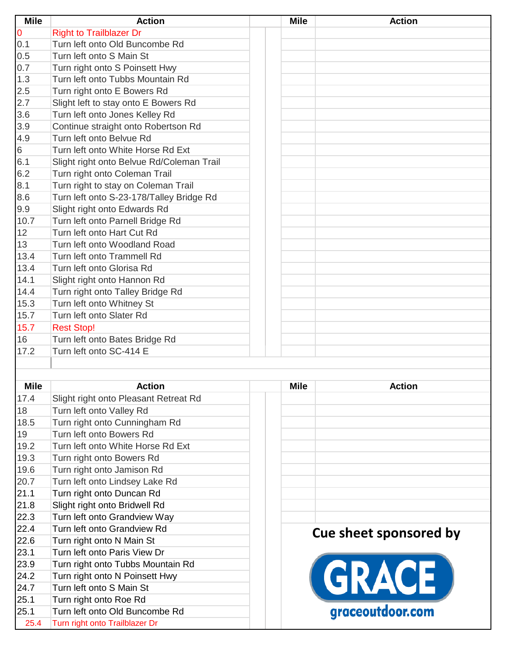| <b>Mile</b> | <b>Action</b>                             | <b>Mile</b> | <b>Action</b>          |
|-------------|-------------------------------------------|-------------|------------------------|
| 0           | <b>Right to Trailblazer Dr</b>            |             |                        |
| 0.1         | Turn left onto Old Buncombe Rd            |             |                        |
| 0.5         | Turn left onto S Main St                  |             |                        |
| 0.7         | Turn right onto S Poinsett Hwy            |             |                        |
| 1.3         | Turn left onto Tubbs Mountain Rd          |             |                        |
| 2.5         | Turn right onto E Bowers Rd               |             |                        |
| 2.7         | Slight left to stay onto E Bowers Rd      |             |                        |
| 3.6         | Turn left onto Jones Kelley Rd            |             |                        |
| 3.9         | Continue straight onto Robertson Rd       |             |                        |
| 4.9         | Turn left onto Belvue Rd                  |             |                        |
| 6           | Turn left onto White Horse Rd Ext         |             |                        |
| 6.1         | Slight right onto Belvue Rd/Coleman Trail |             |                        |
| 6.2         | Turn right onto Coleman Trail             |             |                        |
| 8.1         | Turn right to stay on Coleman Trail       |             |                        |
| 8.6         | Turn left onto S-23-178/Talley Bridge Rd  |             |                        |
| 9.9         | Slight right onto Edwards Rd              |             |                        |
| 10.7        | Turn left onto Parnell Bridge Rd          |             |                        |
| 12          | Turn left onto Hart Cut Rd                |             |                        |
| 13          | Turn left onto Woodland Road              |             |                        |
| 13.4        | Turn left onto Trammell Rd                |             |                        |
| 13.4        | Turn left onto Glorisa Rd                 |             |                        |
| 14.1        | Slight right onto Hannon Rd               |             |                        |
| 14.4        | Turn right onto Talley Bridge Rd          |             |                        |
| 15.3        | Turn left onto Whitney St                 |             |                        |
| 15.7        | Turn left onto Slater Rd                  |             |                        |
| 15.7        | <b>Rest Stop!</b>                         |             |                        |
| 16          | Turn left onto Bates Bridge Rd            |             |                        |
| 17.2        | Turn left onto SC-414 E                   |             |                        |
|             |                                           |             |                        |
|             |                                           |             |                        |
| <b>Mile</b> | <b>Action</b>                             | <b>Mile</b> | <b>Action</b>          |
| 17.4        | Slight right onto Pleasant Retreat Rd     |             |                        |
| 18          | Turn left onto Valley Rd                  |             |                        |
| 18.5        | Turn right onto Cunningham Rd             |             |                        |
| 19          | Turn left onto Bowers Rd                  |             |                        |
| 19.2        | Turn left onto White Horse Rd Ext         |             |                        |
| 19.3        | Turn right onto Bowers Rd                 |             |                        |
| 19.6        | Turn right onto Jamison Rd                |             |                        |
| 20.7        | Turn left onto Lindsey Lake Rd            |             |                        |
| 21.1        | Turn right onto Duncan Rd                 |             |                        |
| 21.8        | Slight right onto Bridwell Rd             |             |                        |
| 22.3        | Turn left onto Grandview Way              |             |                        |
| 22.4        | Turn left onto Grandview Rd               |             |                        |
| 22.6        | Turn right onto N Main St                 |             | Cue sheet sponsored by |
| 23.1        | Turn left onto Paris View Dr              |             |                        |
| 23.9        | Turn right onto Tubbs Mountain Rd         |             |                        |
| 24.2        | Turn right onto N Poinsett Hwy            |             | GRACE                  |
| 24.7        | Turn left onto S Main St                  |             |                        |
| 25.1        | Turn right onto Roe Rd                    |             |                        |
| 25.1        | Turn left onto Old Buncombe Rd            |             | graceoutdoor.com       |
| 25.4        | Turn right onto Trailblazer Dr            |             |                        |
|             |                                           |             |                        |